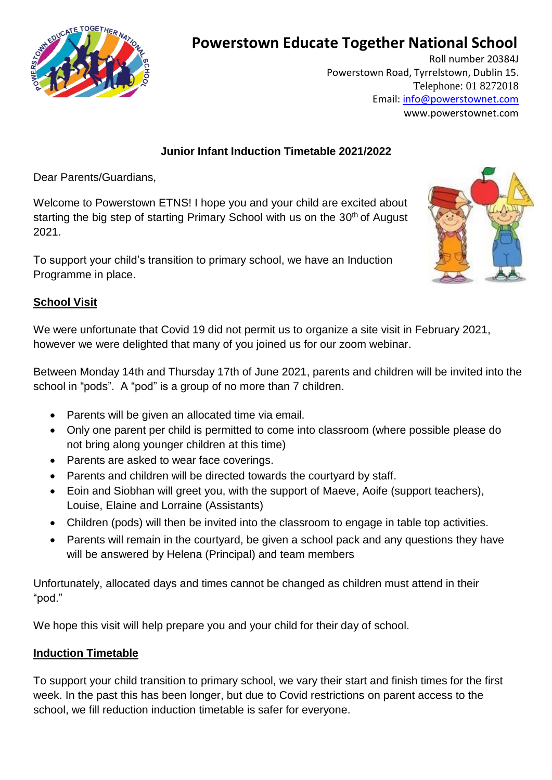

# **Powerstown Educate Together National School**

Roll number 20384J Powerstown Road, Tyrrelstown, Dublin 15. Telephone: 01 8272018 Email: [info@powerstownet.com](about:blank) [www.powerstownet.com](about:blank)

### **Junior Infant Induction Timetable 2021/2022**

Dear Parents/Guardians,

Welcome to Powerstown ETNS! I hope you and your child are excited about starting the big step of starting Primary School with us on the 30<sup>th</sup> of August 2021.

To support your child's transition to primary school, we have an Induction Programme in place.



## **School Visit**

We were unfortunate that Covid 19 did not permit us to organize a site visit in February 2021, however we were delighted that many of you joined us for our zoom webinar.

Between Monday 14th and Thursday 17th of June 2021, parents and children will be invited into the school in "pods". A "pod" is a group of no more than 7 children.

- Parents will be given an allocated time via email.
- Only one parent per child is permitted to come into classroom (where possible please do not bring along younger children at this time)
- Parents are asked to wear face coverings.
- Parents and children will be directed towards the courtyard by staff.
- Eoin and Siobhan will greet you, with the support of Maeve, Aoife (support teachers), Louise, Elaine and Lorraine (Assistants)
- Children (pods) will then be invited into the classroom to engage in table top activities.
- Parents will remain in the courtyard, be given a school pack and any questions they have will be answered by Helena (Principal) and team members

Unfortunately, allocated days and times cannot be changed as children must attend in their "pod."

We hope this visit will help prepare you and your child for their day of school.

#### **Induction Timetable**

To support your child transition to primary school, we vary their start and finish times for the first week. In the past this has been longer, but due to Covid restrictions on parent access to the school, we fill reduction induction timetable is safer for everyone.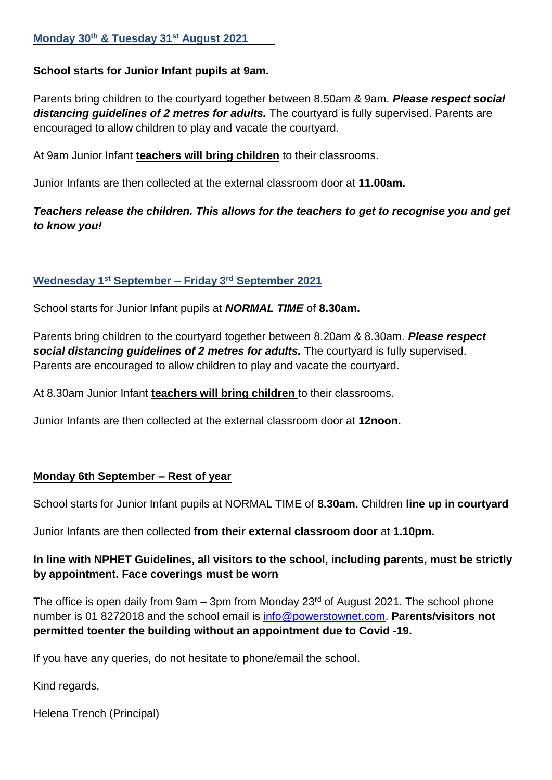#### **School starts for Junior Infant pupils at 9am.**

Parents bring children to the courtyard together between 8.50am & 9am. *Please respect social distancing guidelines of 2 metres for adults.* The courtyard is fully supervised. Parents are encouraged to allow children to play and vacate the courtyard.

At 9am Junior Infant **teachers will bring children** to their classrooms.

Junior Infants are then collected at the external classroom door at **11.00am.**

## *Teachers release the children. This allows for the teachers to get to recognise you and get to know you!*

### **Wednesday 1 st September – Friday 3 rd September 2021**

School starts for Junior Infant pupils at *NORMAL TIME* of **8.30am.**

Parents bring children to the courtyard together between 8.20am & 8.30am. *Please respect social distancing guidelines of 2 metres for adults.* The courtyard is fully supervised. Parents are encouraged to allow children to play and vacate the courtyard.

At 8.30am Junior Infant **teachers will bring children** to their classrooms.

Junior Infants are then collected at the external classroom door at **12noon.**

#### **Monday 6th September – Rest of year**

School starts for Junior Infant pupils at NORMAL TIME of **8.30am.** Children **line up in courtyard**

Junior Infants are then collected **from their external classroom door** at **1.10pm.**

## **In line with NPHET Guidelines, all visitors to the school, including parents, must be strictly by appointment. Face coverings must be worn**

The office is open daily from  $9am - 3pm$  from Monday  $23<sup>rd</sup>$  of August 2021. The school phone number is 01 8272018 and the school email is [info@powerstownet.com.](about:blank) **Parents/visitors not permitted toenter the building without an appointment due to Covid -19.**

If you have any queries, do not hesitate to phone/email the school.

Kind regards,

Helena Trench (Principal)